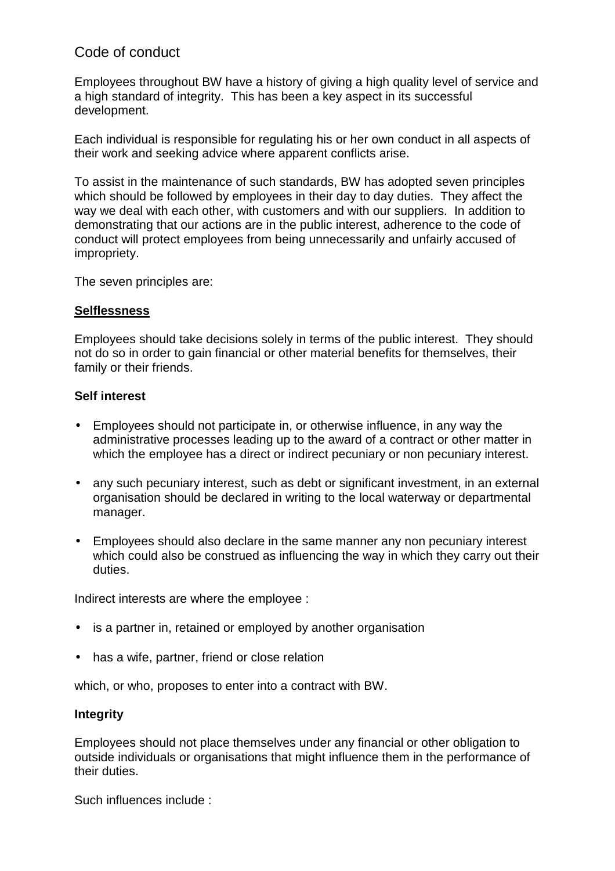# Code of conduct

Employees throughout BW have a history of giving a high quality level of service and a high standard of integrity. This has been a key aspect in its successful development.

Each individual is responsible for regulating his or her own conduct in all aspects of their work and seeking advice where apparent conflicts arise.

To assist in the maintenance of such standards, BW has adopted seven principles which should be followed by employees in their day to day duties. They affect the way we deal with each other, with customers and with our suppliers. In addition to demonstrating that our actions are in the public interest, adherence to the code of conduct will protect employees from being unnecessarily and unfairly accused of impropriety.

The seven principles are:

# **Selflessness**

Employees should take decisions solely in terms of the public interest. They should not do so in order to gain financial or other material benefits for themselves, their family or their friends.

## **Self interest**

- Employees should not participate in, or otherwise influence, in any way the administrative processes leading up to the award of a contract or other matter in which the employee has a direct or indirect pecuniary or non pecuniary interest.
- any such pecuniary interest, such as debt or significant investment, in an external organisation should be declared in writing to the local waterway or departmental manager.
- Employees should also declare in the same manner any non pecuniary interest which could also be construed as influencing the way in which they carry out their duties.

Indirect interests are where the employee :

- is a partner in, retained or employed by another organisation
- has a wife, partner, friend or close relation

which, or who, proposes to enter into a contract with BW.

## **Integrity**

Employees should not place themselves under any financial or other obligation to outside individuals or organisations that might influence them in the performance of their duties.

Such influences include :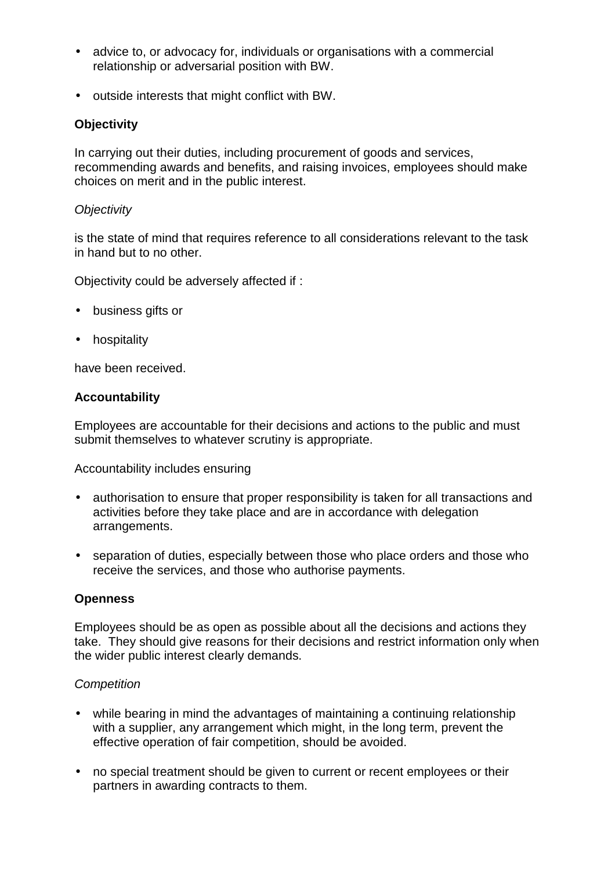- advice to, or advocacy for, individuals or organisations with a commercial relationship or adversarial position with BW.
- outside interests that might conflict with BW.

# **Objectivity**

In carrying out their duties, including procurement of goods and services, recommending awards and benefits, and raising invoices, employees should make choices on merit and in the public interest.

## *Objectivity*

is the state of mind that requires reference to all considerations relevant to the task in hand but to no other.

Objectivity could be adversely affected if :

- business gifts or
- hospitality

have been received.

## **Accountability**

Employees are accountable for their decisions and actions to the public and must submit themselves to whatever scrutiny is appropriate.

Accountability includes ensuring

- authorisation to ensure that proper responsibility is taken for all transactions and activities before they take place and are in accordance with delegation arrangements.
- separation of duties, especially between those who place orders and those who receive the services, and those who authorise payments.

## **Openness**

Employees should be as open as possible about all the decisions and actions they take. They should give reasons for their decisions and restrict information only when the wider public interest clearly demands.

## *Competition*

- while bearing in mind the advantages of maintaining a continuing relationship with a supplier, any arrangement which might, in the long term, prevent the effective operation of fair competition, should be avoided.
- no special treatment should be given to current or recent employees or their partners in awarding contracts to them.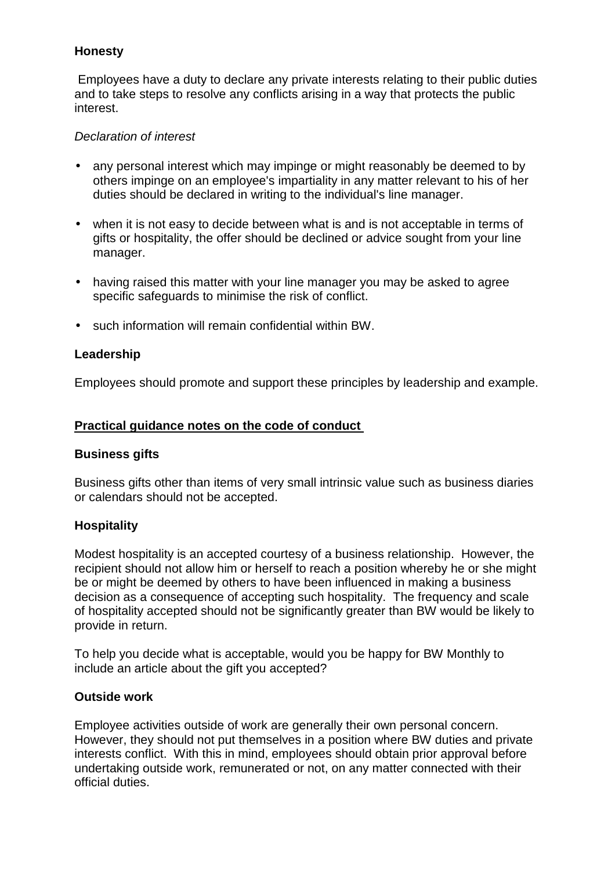## **Honesty**

 Employees have a duty to declare any private interests relating to their public duties and to take steps to resolve any conflicts arising in a way that protects the public interest.

## *Declaration of interest*

- any personal interest which may impinge or might reasonably be deemed to by others impinge on an employee's impartiality in any matter relevant to his of her duties should be declared in writing to the individual's line manager.
- when it is not easy to decide between what is and is not acceptable in terms of gifts or hospitality, the offer should be declined or advice sought from your line manager.
- having raised this matter with your line manager you may be asked to agree specific safeguards to minimise the risk of conflict.
- such information will remain confidential within BW.

## **Leadership**

Employees should promote and support these principles by leadership and example.

## **Practical guidance notes on the code of conduct**

## **Business gifts**

Business gifts other than items of very small intrinsic value such as business diaries or calendars should not be accepted.

## **Hospitality**

Modest hospitality is an accepted courtesy of a business relationship. However, the recipient should not allow him or herself to reach a position whereby he or she might be or might be deemed by others to have been influenced in making a business decision as a consequence of accepting such hospitality. The frequency and scale of hospitality accepted should not be significantly greater than BW would be likely to provide in return.

To help you decide what is acceptable, would you be happy for BW Monthly to include an article about the gift you accepted?

## **Outside work**

Employee activities outside of work are generally their own personal concern. However, they should not put themselves in a position where BW duties and private interests conflict. With this in mind, employees should obtain prior approval before undertaking outside work, remunerated or not, on any matter connected with their official duties.